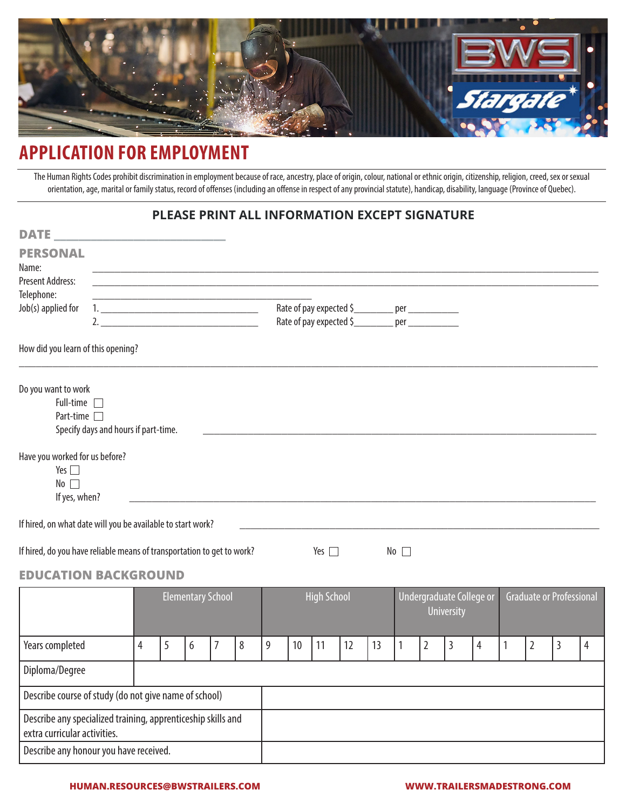

# **APPLICATION FOR EMPLOYMENT**

The Human Rights Codes prohibit discrimination in employment because of race, ancestry, place of origin, colour, national or ethnic origin, citizenship, religion, creed, sex or sexual orientation, age, marital or family status, record of offenses (including an offense in respect of any provincial statute), handicap, disability, language (Province of Quebec).

### **PLEASE PRINT ALL INFORMATION EXCEPT SIGNATURE**

| <b>DATE</b>                                                                                  |                                      |                |   |   |                                                                                                                       |   |   |    |                    |                                                     |    |              |                |                                               |                |              |                |                                 |   |
|----------------------------------------------------------------------------------------------|--------------------------------------|----------------|---|---|-----------------------------------------------------------------------------------------------------------------------|---|---|----|--------------------|-----------------------------------------------------|----|--------------|----------------|-----------------------------------------------|----------------|--------------|----------------|---------------------------------|---|
| <b>PERSONAL</b>                                                                              |                                      |                |   |   |                                                                                                                       |   |   |    |                    |                                                     |    |              |                |                                               |                |              |                |                                 |   |
| Name:                                                                                        |                                      |                |   |   |                                                                                                                       |   |   |    |                    |                                                     |    |              |                |                                               |                |              |                |                                 |   |
| <b>Present Address:</b>                                                                      |                                      |                |   |   | <u> 1980 - Johann John Stone, meil er fan de ferske fan de ferske fan de ferske fan de ferske fan de ferske fan d</u> |   |   |    |                    |                                                     |    |              |                |                                               |                |              |                |                                 |   |
| Telephone:<br>Job(s) applied for                                                             |                                      |                |   |   | <u> 1989 - Johann John Stone, mars eta biztanleria (</u>                                                              |   |   |    |                    | Rate of pay expected \$__________ per ____________  |    |              |                |                                               |                |              |                |                                 |   |
|                                                                                              | 2.                                   |                |   |   |                                                                                                                       |   |   |    |                    | Rate of pay expected \$___________ per ____________ |    |              |                |                                               |                |              |                |                                 |   |
| How did you learn of this opening?                                                           |                                      |                |   |   |                                                                                                                       |   |   |    |                    |                                                     |    |              |                |                                               |                |              |                |                                 |   |
| Do you want to work<br>Full-time $\Box$<br>Part-time                                         | Specify days and hours if part-time. |                |   |   |                                                                                                                       |   |   |    |                    |                                                     |    |              |                |                                               |                |              |                |                                 |   |
| Have you worked for us before?<br>Yes $\Box$<br>No<br>If yes, when?                          |                                      |                |   |   |                                                                                                                       |   |   |    |                    |                                                     |    |              |                |                                               |                |              |                |                                 |   |
| If hired, on what date will you be available to start work?                                  |                                      |                |   |   |                                                                                                                       |   |   |    |                    |                                                     |    |              |                |                                               |                |              |                |                                 |   |
| If hired, do you have reliable means of transportation to get to work?                       |                                      |                |   |   |                                                                                                                       |   |   |    | Yes $\Box$         |                                                     |    | No           |                |                                               |                |              |                |                                 |   |
| <b>EDUCATION BACKGROUND</b>                                                                  |                                      |                |   |   |                                                                                                                       |   |   |    |                    |                                                     |    |              |                |                                               |                |              |                |                                 |   |
|                                                                                              |                                      |                |   |   | <b>Elementary School</b>                                                                                              |   |   |    | <b>High School</b> |                                                     |    |              |                | Undergraduate College or<br><b>University</b> |                |              |                | <b>Graduate or Professional</b> |   |
| Years completed                                                                              |                                      | $\overline{4}$ | 5 | 6 | $\overline{7}$                                                                                                        | 8 | 9 | 10 | 11                 | 12                                                  | 13 | $\mathbf{1}$ | $\overline{2}$ | $\overline{3}$                                | $\overline{4}$ | $\mathbf{1}$ | $\overline{2}$ | 3                               | 4 |
| Diploma/Degree                                                                               |                                      |                |   |   |                                                                                                                       |   |   |    |                    |                                                     |    |              |                |                                               |                |              |                |                                 |   |
| Describe course of study (do not give name of school)                                        |                                      |                |   |   |                                                                                                                       |   |   |    |                    |                                                     |    |              |                |                                               |                |              |                |                                 |   |
| Describe any specialized training, apprenticeship skills and<br>extra curricular activities. |                                      |                |   |   |                                                                                                                       |   |   |    |                    |                                                     |    |              |                |                                               |                |              |                |                                 |   |
| Describe any honour you have received.                                                       |                                      |                |   |   |                                                                                                                       |   |   |    |                    |                                                     |    |              |                |                                               |                |              |                |                                 |   |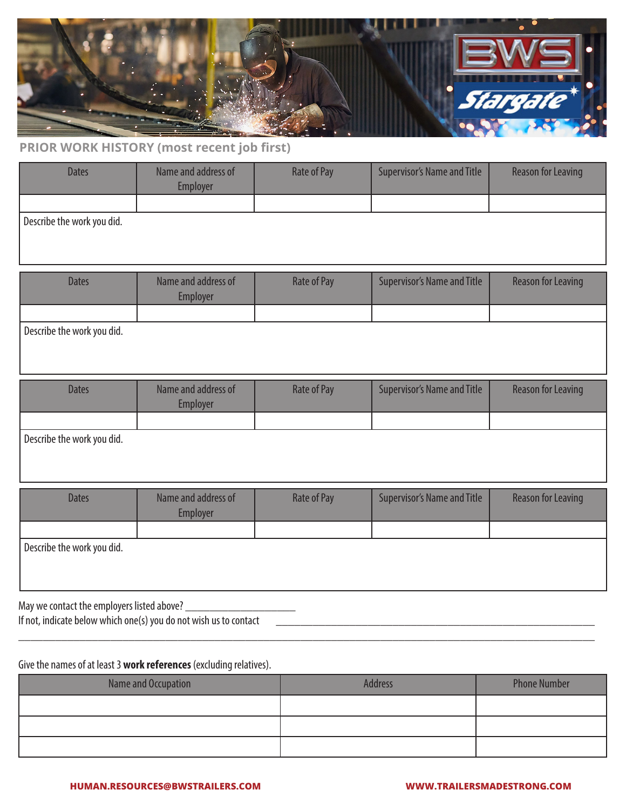

## **PRIOR WORK HISTORY (most recent job first)**

| <b>Dates</b>               | Name and address of<br>Employer | <b>Rate of Pay</b> | <b>Supervisor's Name and Title</b> | <b>Reason for Leaving</b> |
|----------------------------|---------------------------------|--------------------|------------------------------------|---------------------------|
|                            |                                 |                    |                                    |                           |
| Describe the work you did. |                                 |                    |                                    |                           |
| <b>Dates</b>               | Name and address of<br>Employer | Rate of Pay        | <b>Supervisor's Name and Title</b> | <b>Reason for Leaving</b> |
|                            |                                 |                    |                                    |                           |
| Describe the work you did. |                                 |                    |                                    |                           |
| <b>Dates</b>               | Name and address of<br>Employer | Rate of Pay        | <b>Supervisor's Name and Title</b> | <b>Reason for Leaving</b> |
|                            |                                 |                    |                                    |                           |

Describe the work you did.

| <b>Dates</b>                                               | Name and address of<br><b>Employer</b> | Rate of Pay | <b>Supervisor's Name and Title</b> | <b>Reason for Leaving</b> |
|------------------------------------------------------------|----------------------------------------|-------------|------------------------------------|---------------------------|
|                                                            |                                        |             |                                    |                           |
| Describe the work you did.                                 |                                        |             |                                    |                           |
| Macrossociation of the consistence of the distribution $2$ |                                        |             |                                    |                           |

May we contact the employers listed above? \_\_\_\_\_\_\_\_\_\_\_\_\_\_\_\_\_\_

If not, indicate below which one(s) you do not wish us to contact

### Give the names of at least 3 **work references** (excluding relatives).

| Name and Occupation | Address | <b>Phone Number</b> |
|---------------------|---------|---------------------|
|                     |         |                     |
|                     |         |                     |
|                     |         |                     |

\_\_\_\_\_\_\_\_\_\_\_\_\_\_\_\_\_\_\_\_\_\_\_\_\_\_\_\_\_\_\_\_\_\_\_\_\_\_\_\_\_\_\_\_\_\_\_\_\_\_\_\_\_\_\_\_\_\_\_\_\_\_\_\_\_\_\_\_\_\_\_\_\_\_\_\_\_\_\_\_\_\_\_\_\_\_\_\_\_\_\_\_\_\_